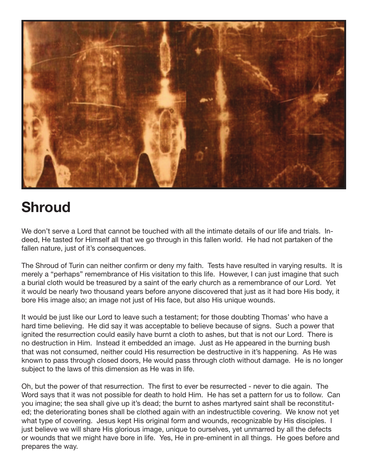

## **Shroud**

We don't serve a Lord that cannot be touched with all the intimate details of our life and trials. Indeed, He tasted for Himself all that we go through in this fallen world. He had not partaken of the fallen nature, just of it's consequences.

The Shroud of Turin can neither confirm or deny my faith. Tests have resulted in varying results. It is merely a "perhaps" remembrance of His visitation to this life. However, I can just imagine that such a burial cloth would be treasured by a saint of the early church as a remembrance of our Lord. Yet it would be nearly two thousand years before anyone discovered that just as it had bore His body, it bore His image also; an image not just of His face, but also His unique wounds.

It would be just like our Lord to leave such a testament; for those doubting Thomas' who have a hard time believing. He did say it was acceptable to believe because of signs. Such a power that ignited the resurrection could easily have burnt a cloth to ashes, but that is not our Lord. There is no destruction in Him. Instead it embedded an image. Just as He appeared in the burning bush that was not consumed, neither could His resurrection be destructive in it's happening. As He was known to pass through closed doors, He would pass through cloth without damage. He is no longer subject to the laws of this dimension as He was in life.

Oh, but the power of that resurrection. The first to ever be resurrected - never to die again. The Word says that it was not possible for death to hold Him. He has set a pattern for us to follow. Can you imagine; the sea shall give up it's dead; the burnt to ashes martyred saint shall be reconstituted; the deteriorating bones shall be clothed again with an indestructible covering. We know not yet what type of covering. Jesus kept His original form and wounds, recognizable by His disciples. I just believe we will share His glorious image, unique to ourselves, yet unmarred by all the defects or wounds that we might have bore in life. Yes, He in pre-eminent in all things. He goes before and prepares the way.